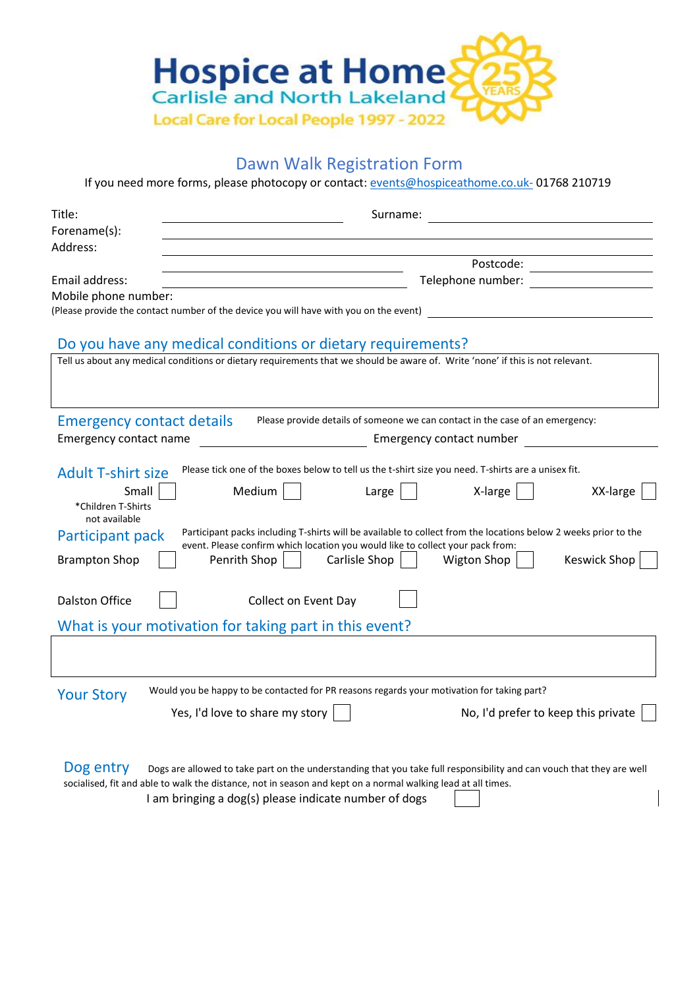

## Dawn Walk Registration Form

If you need more forms, please photocopy or contact: [events@hospiceathome.co.uk-](mailto:events@hospiceathome.co.uk-) 01768 210719

| Title:                                             |  | Surname:                                                                                                                       |                   |                                                                               |                              |  |  |
|----------------------------------------------------|--|--------------------------------------------------------------------------------------------------------------------------------|-------------------|-------------------------------------------------------------------------------|------------------------------|--|--|
| Forename(s):                                       |  |                                                                                                                                |                   |                                                                               |                              |  |  |
| Address:                                           |  |                                                                                                                                |                   |                                                                               |                              |  |  |
|                                                    |  |                                                                                                                                |                   |                                                                               | Postcode: __________________ |  |  |
| Email address:                                     |  |                                                                                                                                | Telephone number: |                                                                               |                              |  |  |
| Mobile phone number:                               |  | (Please provide the contact number of the device you will have with you on the event)                                          |                   |                                                                               |                              |  |  |
|                                                    |  |                                                                                                                                |                   |                                                                               |                              |  |  |
|                                                    |  | Do you have any medical conditions or dietary requirements?                                                                    |                   |                                                                               |                              |  |  |
|                                                    |  | Tell us about any medical conditions or dietary requirements that we should be aware of. Write 'none' if this is not relevant. |                   |                                                                               |                              |  |  |
|                                                    |  |                                                                                                                                |                   |                                                                               |                              |  |  |
|                                                    |  |                                                                                                                                |                   |                                                                               |                              |  |  |
| <b>Emergency contact details</b>                   |  |                                                                                                                                |                   | Please provide details of someone we can contact in the case of an emergency: |                              |  |  |
| Emergency contact number<br>Emergency contact name |  |                                                                                                                                |                   |                                                                               |                              |  |  |
|                                                    |  |                                                                                                                                |                   |                                                                               |                              |  |  |
| <b>Adult T-shirt size</b>                          |  | Please tick one of the boxes below to tell us the t-shirt size you need. T-shirts are a unisex fit.                            |                   |                                                                               |                              |  |  |
| Small                                              |  | Medium                                                                                                                         | Large             | X-large                                                                       | XX-large                     |  |  |
| *Children T-Shirts                                 |  |                                                                                                                                |                   |                                                                               |                              |  |  |
| not available                                      |  | Participant packs including T-shirts will be available to collect from the locations below 2 weeks prior to the                |                   |                                                                               |                              |  |  |
| Participant pack                                   |  | event. Please confirm which location you would like to collect your pack from:                                                 |                   |                                                                               |                              |  |  |
| <b>Brampton Shop</b>                               |  | Penrith Shop                                                                                                                   | Carlisle Shop     | Wigton Shop                                                                   | Keswick Shop                 |  |  |
|                                                    |  |                                                                                                                                |                   |                                                                               |                              |  |  |
| <b>Dalston Office</b>                              |  | <b>Collect on Event Day</b>                                                                                                    |                   |                                                                               |                              |  |  |
|                                                    |  |                                                                                                                                |                   |                                                                               |                              |  |  |
|                                                    |  | What is your motivation for taking part in this event?                                                                         |                   |                                                                               |                              |  |  |
|                                                    |  |                                                                                                                                |                   |                                                                               |                              |  |  |
|                                                    |  |                                                                                                                                |                   |                                                                               |                              |  |  |
| <b>Your Story</b>                                  |  | Would you be happy to be contacted for PR reasons regards your motivation for taking part?                                     |                   |                                                                               |                              |  |  |
|                                                    |  | No, I'd prefer to keep this private<br>Yes, I'd love to share my story                                                         |                   |                                                                               |                              |  |  |
|                                                    |  |                                                                                                                                |                   |                                                                               |                              |  |  |
|                                                    |  |                                                                                                                                |                   |                                                                               |                              |  |  |
| Dog entry                                          |  | Dogs are allowed to take part on the understanding that you take full responsibility and can vouch that they are well          |                   |                                                                               |                              |  |  |
|                                                    |  | socialised, fit and able to walk the distance, not in season and kept on a normal walking lead at all times.                   |                   |                                                                               |                              |  |  |

I am bringing a dog(s) please indicate number of dogs